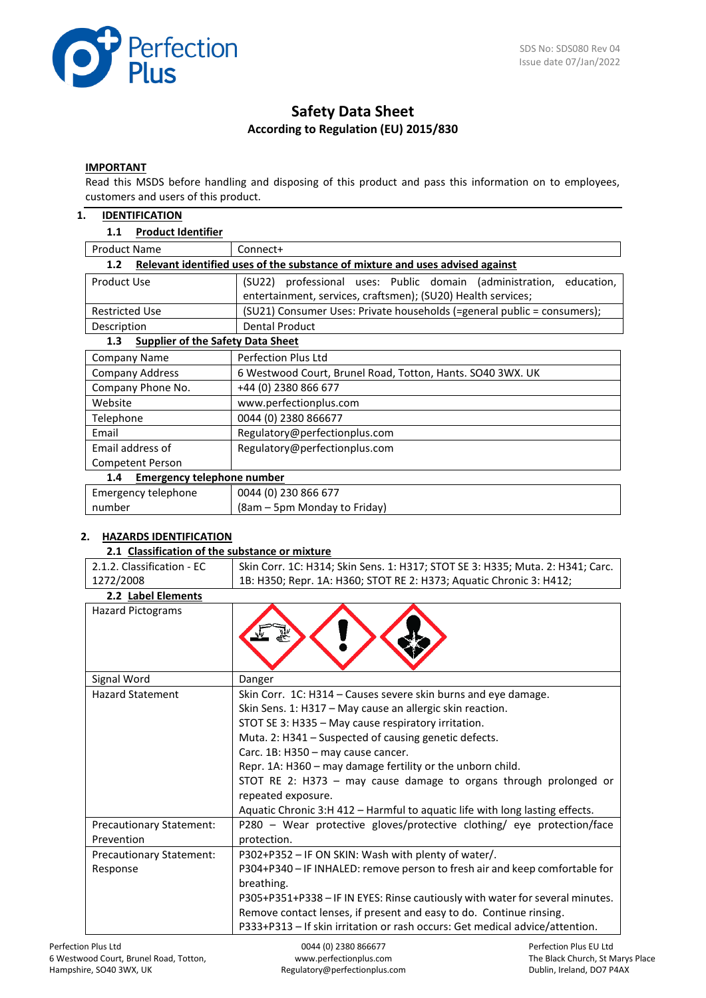

# **Safety Data Sheet According to Regulation (EU) 2015/830**

## **IMPORTANT**

Read this MSDS before handling and disposing of this product and pass this information on to employees, customers and users of this product.

#### **1. IDENTIFICATION**

#### **1.1 Product Identifier**

| <b>Product Name</b>                                                                               | Connect+                                                                |  |  |  |
|---------------------------------------------------------------------------------------------------|-------------------------------------------------------------------------|--|--|--|
| Relevant identified uses of the substance of mixture and uses advised against<br>1.2 <sub>2</sub> |                                                                         |  |  |  |
| Product Use                                                                                       | (SU22) professional uses: Public domain (administration,<br>education,  |  |  |  |
|                                                                                                   | entertainment, services, craftsmen); (SU20) Health services;            |  |  |  |
| <b>Restricted Use</b>                                                                             | (SU21) Consumer Uses: Private households (=general public = consumers); |  |  |  |
| Description                                                                                       | Dental Product                                                          |  |  |  |
| <b>Supplier of the Safety Data Sheet</b><br>1.3 <sub>1</sub>                                      |                                                                         |  |  |  |
| Company Name                                                                                      | Perfection Plus Ltd                                                     |  |  |  |
| <b>Company Address</b>                                                                            | 6 Westwood Court, Brunel Road, Totton, Hants. SO40 3WX. UK              |  |  |  |
| Company Phone No.                                                                                 | +44 (0) 2380 866 677                                                    |  |  |  |
| Website                                                                                           | www.perfectionplus.com                                                  |  |  |  |
| Telephone                                                                                         | 0044 (0) 2380 866677                                                    |  |  |  |
| Email                                                                                             | Regulatory@perfectionplus.com                                           |  |  |  |
| Email address of                                                                                  | Regulatory@perfectionplus.com                                           |  |  |  |
| <b>Competent Person</b>                                                                           |                                                                         |  |  |  |
| <b>Emergency telephone number</b><br>1.4                                                          |                                                                         |  |  |  |
| Emergency telephone                                                                               | 0044 (0) 230 866 677                                                    |  |  |  |
| number                                                                                            | (8am – 5pm Monday to Friday)                                            |  |  |  |

# **2. HAZARDS IDENTIFICATION**

#### **2.1 Classification of the substance or mixture**

| 2.1.2. Classification - EC             | Skin Corr. 1C: H314; Skin Sens. 1: H317; STOT SE 3: H335; Muta. 2: H341; Carc.                                                                                                                                                                                                                                                                                                                                                                                                                                             |
|----------------------------------------|----------------------------------------------------------------------------------------------------------------------------------------------------------------------------------------------------------------------------------------------------------------------------------------------------------------------------------------------------------------------------------------------------------------------------------------------------------------------------------------------------------------------------|
| 1272/2008                              | 1B: H350; Repr. 1A: H360; STOT RE 2: H373; Aquatic Chronic 3: H412;                                                                                                                                                                                                                                                                                                                                                                                                                                                        |
| 2.2 Label Elements                     |                                                                                                                                                                                                                                                                                                                                                                                                                                                                                                                            |
| <b>Hazard Pictograms</b>               |                                                                                                                                                                                                                                                                                                                                                                                                                                                                                                                            |
| Signal Word                            | Danger                                                                                                                                                                                                                                                                                                                                                                                                                                                                                                                     |
| <b>Hazard Statement</b>                | Skin Corr. 1C: H314 - Causes severe skin burns and eye damage.<br>Skin Sens. 1: H317 - May cause an allergic skin reaction.<br>STOT SE 3: H335 - May cause respiratory irritation.<br>Muta. 2: H341 - Suspected of causing genetic defects.<br>Carc. 1B: H350 - may cause cancer.<br>Repr. 1A: H360 - may damage fertility or the unborn child.<br>STOT RE 2: H373 - may cause damage to organs through prolonged or<br>repeated exposure.<br>Aquatic Chronic 3:H 412 - Harmful to aquatic life with long lasting effects. |
| Precautionary Statement:<br>Prevention | P280 - Wear protective gloves/protective clothing/ eye protection/face<br>protection.                                                                                                                                                                                                                                                                                                                                                                                                                                      |
| Precautionary Statement:               | P302+P352 - IF ON SKIN: Wash with plenty of water/.                                                                                                                                                                                                                                                                                                                                                                                                                                                                        |
| Response                               | P304+P340 - IF INHALED: remove person to fresh air and keep comfortable for<br>breathing.<br>P305+P351+P338 - IF IN EYES: Rinse cautiously with water for several minutes.                                                                                                                                                                                                                                                                                                                                                 |
|                                        | Remove contact lenses, if present and easy to do. Continue rinsing.                                                                                                                                                                                                                                                                                                                                                                                                                                                        |
|                                        | P333+P313 - If skin irritation or rash occurs: Get medical advice/attention.                                                                                                                                                                                                                                                                                                                                                                                                                                               |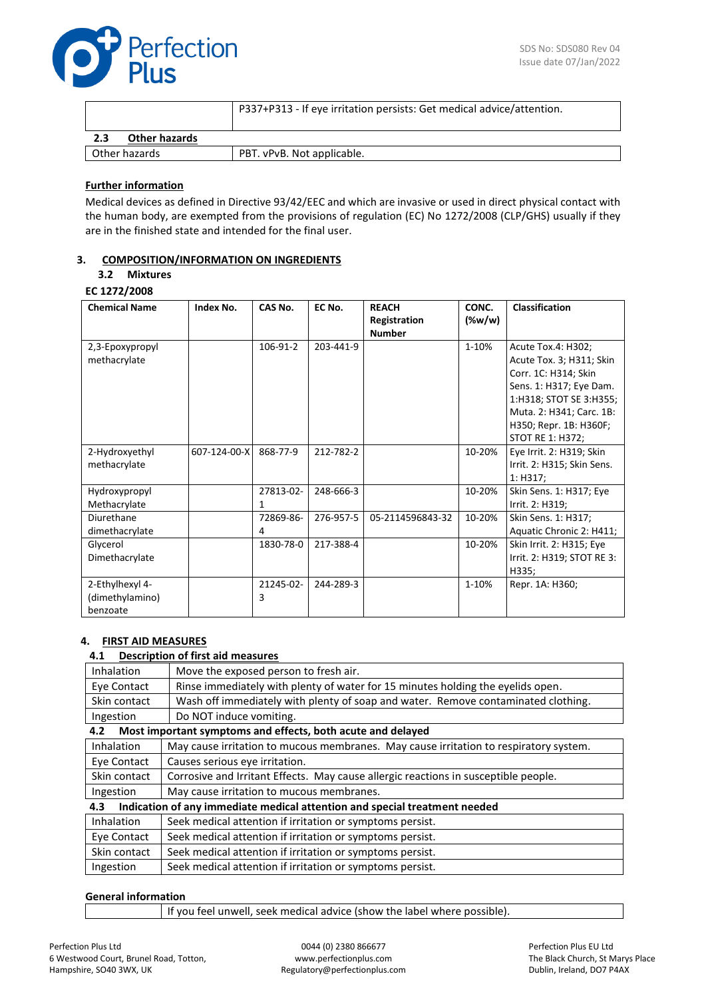

|                             | P337+P313 - If eye irritation persists: Get medical advice/attention. |
|-----------------------------|-----------------------------------------------------------------------|
| <b>Other hazards</b><br>2.3 |                                                                       |
| Other hazards               | PBT. vPvB. Not applicable.                                            |

### **Further information**

Medical devices as defined in Directive 93/42/EEC and which are invasive or used in direct physical contact with the human body, are exempted from the provisions of regulation (EC) No 1272/2008 (CLP/GHS) usually if they are in the finished state and intended for the final user.

## **3. COMPOSITION/INFORMATION ON INGREDIENTS**

### **3.2 Mixtures**

**EC 1272/2008**

| <b>Chemical Name</b>                           | Index No.    | CAS No.        | EC No.    | <b>REACH</b><br>Registration<br><b>Number</b> | CONC.<br>(%w/w) | Classification                                                                                                                                                                                         |
|------------------------------------------------|--------------|----------------|-----------|-----------------------------------------------|-----------------|--------------------------------------------------------------------------------------------------------------------------------------------------------------------------------------------------------|
| 2,3-Epoxypropyl<br>methacrylate                |              | 106-91-2       | 203-441-9 |                                               | 1-10%           | Acute Tox.4: H302;<br>Acute Tox. 3; H311; Skin<br>Corr. 1C: H314; Skin<br>Sens. 1: H317; Eye Dam.<br>1:H318; STOT SE 3:H355;<br>Muta. 2: H341; Carc. 1B:<br>H350; Repr. 1B: H360F;<br>STOT RE 1: H372; |
| 2-Hydroxyethyl<br>methacrylate                 | 607-124-00-X | 868-77-9       | 212-782-2 |                                               | 10-20%          | Eye Irrit. 2: H319; Skin<br>Irrit. 2: H315; Skin Sens.<br>1: H317:                                                                                                                                     |
| Hydroxypropyl<br>Methacrylate                  |              | 27813-02-<br>1 | 248-666-3 |                                               | 10-20%          | Skin Sens. 1: H317; Eye<br>Irrit. 2: H319;                                                                                                                                                             |
| Diurethane<br>dimethacrylate                   |              | 72869-86-<br>4 | 276-957-5 | 05-2114596843-32                              | 10-20%          | Skin Sens. 1: H317;<br>Aquatic Chronic 2: H411;                                                                                                                                                        |
| Glycerol<br>Dimethacrylate                     |              | 1830-78-0      | 217-388-4 |                                               | 10-20%          | Skin Irrit. 2: H315; Eye<br>Irrit. 2: H319; STOT RE 3:<br>H335;                                                                                                                                        |
| 2-Ethylhexyl 4-<br>(dimethylamino)<br>benzoate |              | 21245-02-<br>3 | 244-289-3 |                                               | 1-10%           | Repr. 1A: H360;                                                                                                                                                                                        |

# **4. FIRST AID MEASURES**

# **4.1 Description of first aid measures**

| 4. 1              | Description of first ald measures                                                     |  |
|-------------------|---------------------------------------------------------------------------------------|--|
| Inhalation        | Move the exposed person to fresh air.                                                 |  |
| Eye Contact       | Rinse immediately with plenty of water for 15 minutes holding the eyelids open.       |  |
| Skin contact      | Wash off immediately with plenty of soap and water. Remove contaminated clothing.     |  |
| Ingestion         | Do NOT induce vomiting.                                                               |  |
| 4.2               | Most important symptoms and effects, both acute and delayed                           |  |
| Inhalation        | May cause irritation to mucous membranes. May cause irritation to respiratory system. |  |
| Eye Contact       | Causes serious eye irritation.                                                        |  |
| Skin contact      | Corrosive and Irritant Effects. May cause allergic reactions in susceptible people.   |  |
| Ingestion         | May cause irritation to mucous membranes.                                             |  |
| 4.3               | Indication of any immediate medical attention and special treatment needed            |  |
| <b>Inhalation</b> | Seek medical attention if irritation or symptoms persist.                             |  |
| Eye Contact       | Seek medical attention if irritation or symptoms persist.                             |  |
| Skin contact      | Seek medical attention if irritation or symptoms persist.                             |  |
| Ingestion         | Seek medical attention if irritation or symptoms persist.                             |  |

# **General information**

If you feel unwell, seek medical advice (show the label where possible).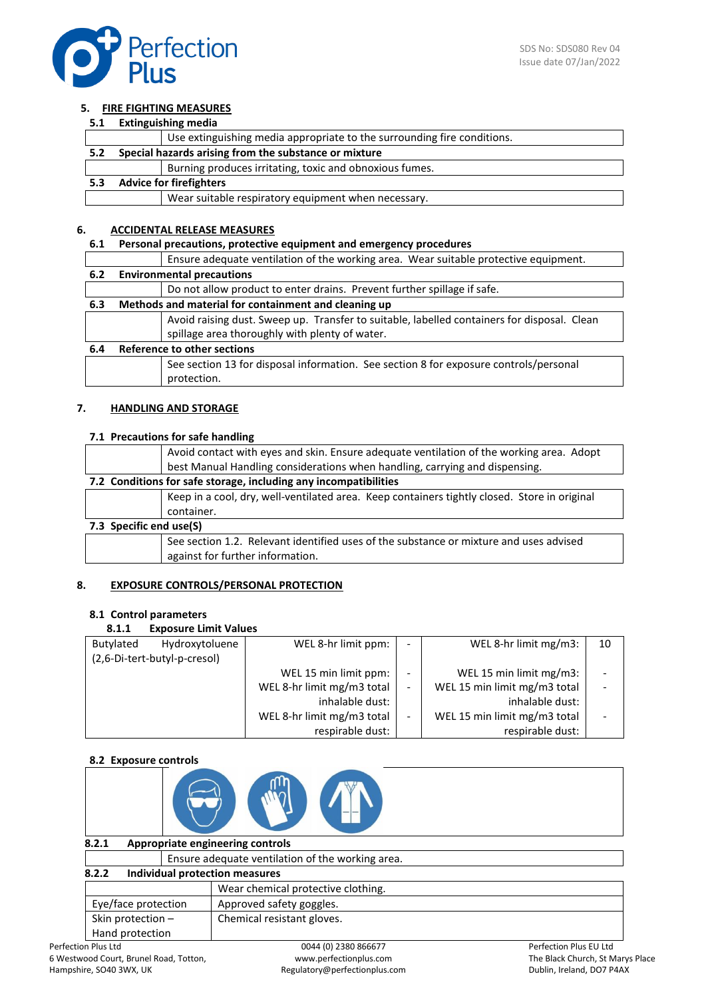

## **5. FIRE FIGHTING MEASURES**

#### **5.1 Extinguishing media**

|     |                                | Use extinguishing media appropriate to the surrounding fire conditions. |  |
|-----|--------------------------------|-------------------------------------------------------------------------|--|
| 5.2 |                                | Special hazards arising from the substance or mixture                   |  |
|     |                                | Burning produces irritating, toxic and obnoxious fumes.                 |  |
| 5.3 | <b>Advice for firefighters</b> |                                                                         |  |
|     |                                | Wear suitable respiratory equipment when necessary.                     |  |

## **6. ACCIDENTAL RELEASE MEASURES**

# **6.1 Personal precautions, protective equipment and emergency procedures**

|     | Ensure adequate ventilation of the working area. Wear suitable protective equipment.        |  |  |  |
|-----|---------------------------------------------------------------------------------------------|--|--|--|
| 6.2 | <b>Environmental precautions</b>                                                            |  |  |  |
|     | Do not allow product to enter drains. Prevent further spillage if safe.                     |  |  |  |
| 6.3 | Methods and material for containment and cleaning up                                        |  |  |  |
|     | Avoid raising dust. Sweep up. Transfer to suitable, labelled containers for disposal. Clean |  |  |  |
|     | spillage area thoroughly with plenty of water.                                              |  |  |  |
| 6.4 | <b>Reference to other sections</b>                                                          |  |  |  |
|     | See section 13 for disposal information. See section 8 for exposure controls/personal       |  |  |  |
|     | protection.                                                                                 |  |  |  |

## **7. HANDLING AND STORAGE**

# **7.1 Precautions for safe handling**

|                                                                  | Avoid contact with eyes and skin. Ensure adequate ventilation of the working area. Adopt     |  |  |
|------------------------------------------------------------------|----------------------------------------------------------------------------------------------|--|--|
|                                                                  | best Manual Handling considerations when handling, carrying and dispensing.                  |  |  |
| 7.2 Conditions for safe storage, including any incompatibilities |                                                                                              |  |  |
|                                                                  | Keep in a cool, dry, well-ventilated area. Keep containers tightly closed. Store in original |  |  |
|                                                                  | container.                                                                                   |  |  |
| 7.3 Specific end use(S)                                          |                                                                                              |  |  |
|                                                                  | See section 1.2. Relevant identified uses of the substance or mixture and uses advised       |  |  |
|                                                                  | against for further information.                                                             |  |  |

#### **8. EXPOSURE CONTROLS/PERSONAL PROTECTION**

#### **8.1 Control parameters**

# **8.1.1 Exposure Limit Values**

| .         | <b>EXPOSULE ENTIRE VAIDES</b> |                            |                          |                              |    |
|-----------|-------------------------------|----------------------------|--------------------------|------------------------------|----|
| Butylated | Hydroxytoluene                | WEL 8-hr limit ppm:        | $\overline{\phantom{0}}$ | WEL 8-hr limit mg/m3:        | 10 |
|           | (2,6-Di-tert-butyl-p-cresol)  |                            |                          |                              |    |
|           |                               | WEL 15 min limit ppm:      | $\overline{\phantom{0}}$ | WEL 15 min limit mg/m3:      |    |
|           |                               | WEL 8-hr limit mg/m3 total | -                        | WEL 15 min limit mg/m3 total |    |
|           |                               | inhalable dust:            |                          | inhalable dust:              |    |
|           |                               | WEL 8-hr limit mg/m3 total | -                        | WEL 15 min limit mg/m3 total |    |
|           |                               | respirable dust:           |                          | respirable dust:             |    |

# **8.2 Exposure controls**

| <b>O.L.</b> EXPOSULE COLLULUIS                  |                                                  |                               |  |  |
|-------------------------------------------------|--------------------------------------------------|-------------------------------|--|--|
|                                                 |                                                  |                               |  |  |
| 8.2.1                                           | Appropriate engineering controls                 |                               |  |  |
|                                                 | Ensure adequate ventilation of the working area. |                               |  |  |
| Individual protection measures<br>8.2.2         |                                                  |                               |  |  |
|                                                 | Wear chemical protective clothing.               |                               |  |  |
| Approved safety goggles.<br>Eye/face protection |                                                  |                               |  |  |
| Skin protection -<br>Chemical resistant gloves. |                                                  |                               |  |  |
| Hand protection                                 |                                                  |                               |  |  |
| nn Plus I td                                    | 0044 (0) 2380 866677                             | <b>Perfection Plus ELLItd</b> |  |  |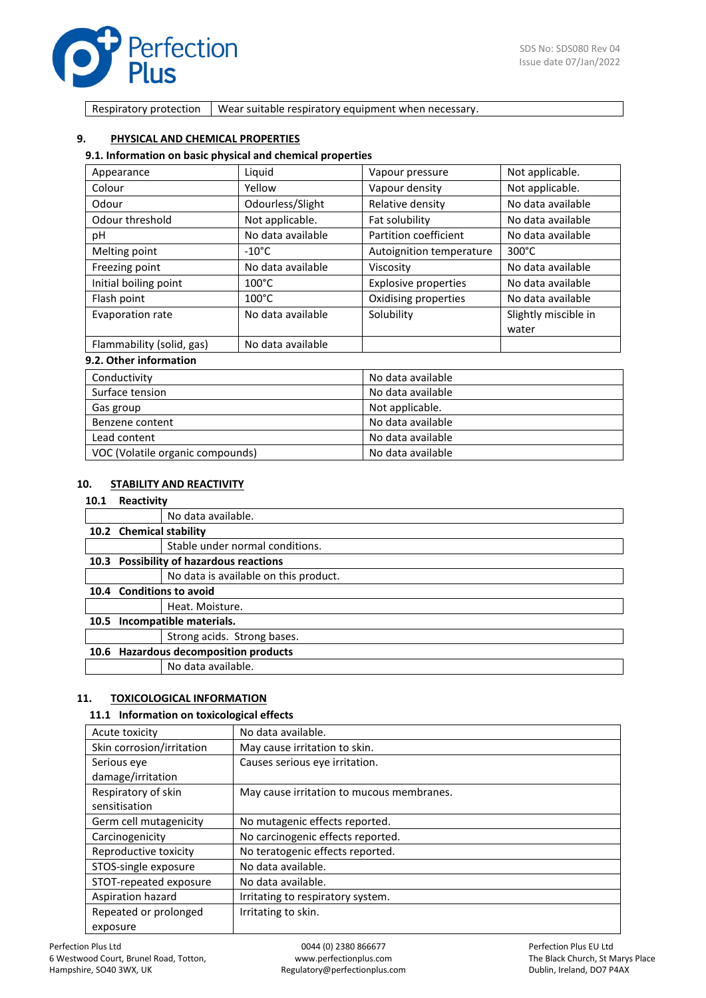

Respiratory protection  $\vert$  Wear suitable respiratory equipment when necessary.

# **9. PHYSICAL AND CHEMICAL PROPERTIES**

#### **9.1. Information on basic physical and chemical properties**

| Appearance                | Liquid            | Vapour pressure             | Not applicable.      |
|---------------------------|-------------------|-----------------------------|----------------------|
| Colour                    | Yellow            | Vapour density              | Not applicable.      |
| Odour                     | Odourless/Slight  | Relative density            | No data available    |
| Odour threshold           | Not applicable.   | Fat solubility              | No data available    |
| рH                        | No data available | Partition coefficient       | No data available    |
| Melting point             | $-10^{\circ}$ C   | Autoignition temperature    | $300^{\circ}$ C      |
| Freezing point            | No data available | Viscosity                   | No data available    |
| Initial boiling point     | $100^{\circ}$ C   | <b>Explosive properties</b> | No data available    |
| Flash point               | $100^{\circ}$ C   | Oxidising properties        | No data available    |
| Evaporation rate          | No data available | Solubility                  | Slightly miscible in |
|                           |                   |                             | water                |
| Flammability (solid, gas) | No data available |                             |                      |

# **9.2. Other information**

| Conductivity                     | No data available |
|----------------------------------|-------------------|
| Surface tension                  | No data available |
| Gas group                        | Not applicable.   |
| Benzene content                  | No data available |
| Lead content                     | No data available |
| VOC (Volatile organic compounds) | No data available |

## **10. STABILITY AND REACTIVITY**

# **10.1 Reactivity**

| .                            |                                         |
|------------------------------|-----------------------------------------|
|                              | No data available.                      |
| 10.2 Chemical stability      |                                         |
|                              | Stable under normal conditions.         |
|                              | 10.3 Possibility of hazardous reactions |
|                              | No data is available on this product.   |
|                              | 10.4 Conditions to avoid                |
|                              | Heat. Moisture.                         |
| 10.5 Incompatible materials. |                                         |
|                              | Strong acids. Strong bases.             |
|                              | 10.6 Hazardous decomposition products   |
|                              | No data available.                      |
|                              |                                         |

#### **11. TOXICOLOGICAL INFORMATION**

#### **11.1 Information on toxicological effects**

| Acute toxicity            | No data available.                        |
|---------------------------|-------------------------------------------|
| Skin corrosion/irritation | May cause irritation to skin.             |
| Serious eye               | Causes serious eye irritation.            |
| damage/irritation         |                                           |
| Respiratory of skin       | May cause irritation to mucous membranes. |
| sensitisation             |                                           |
| Germ cell mutagenicity    | No mutagenic effects reported.            |
| Carcinogenicity           | No carcinogenic effects reported.         |
| Reproductive toxicity     | No teratogenic effects reported.          |
| STOS-single exposure      | No data available.                        |
| STOT-repeated exposure    | No data available.                        |
| Aspiration hazard         | Irritating to respiratory system.         |
| Repeated or prolonged     | Irritating to skin.                       |
| exposure                  |                                           |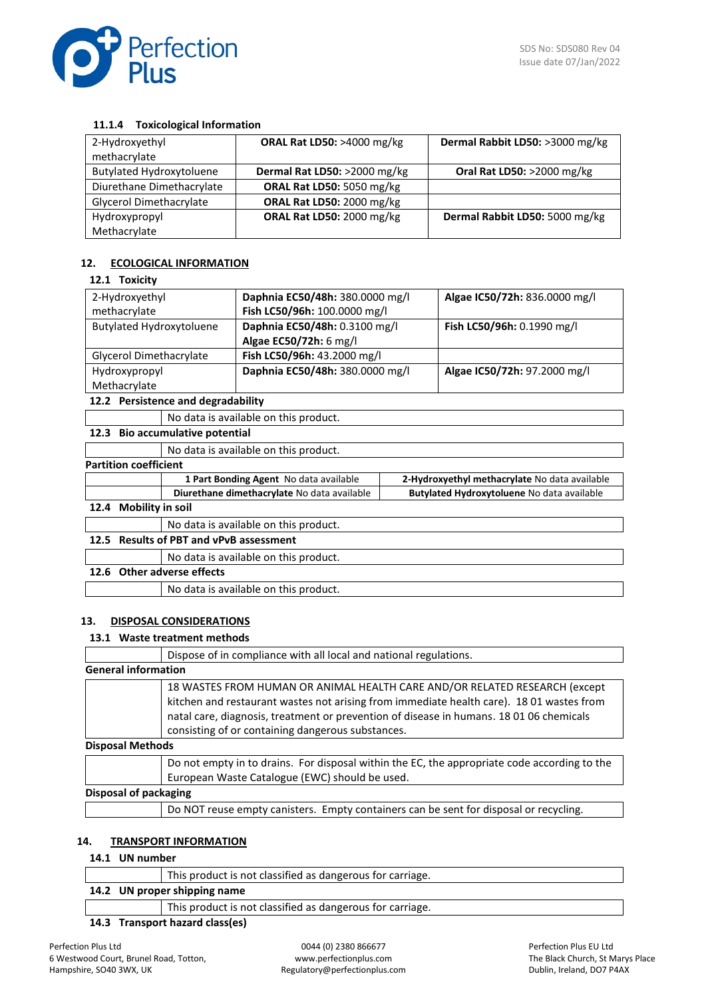

## **11.1.4 Toxicological Information**

| 2-Hydroxyethyl<br>methacrylate  | <b>ORAL Rat LD50: &gt;4000 mg/kg</b> | Dermal Rabbit LD50: >3000 mg/kg      |
|---------------------------------|--------------------------------------|--------------------------------------|
| <b>Butylated Hydroxytoluene</b> | Dermal Rat LD50: >2000 mg/kg         | <b>Oral Rat LD50: &gt;2000 mg/kg</b> |
| Diurethane Dimethacrylate       | ORAL Rat LD50: 5050 mg/kg            |                                      |
| Glycerol Dimethacrylate         | ORAL Rat LD50: 2000 mg/kg            |                                      |
| Hydroxypropyl                   | ORAL Rat LD50: 2000 mg/kg            | Dermal Rabbit LD50: 5000 mg/kg       |
| Methacrylate                    |                                      |                                      |

## **12. ECOLOGICAL INFORMATION**

#### **12.1 Toxicity**

| 2-Hydroxyethyl                  | Daphnia EC50/48h: 380.0000 mg/l | Algae IC50/72h: 836.0000 mg/l |
|---------------------------------|---------------------------------|-------------------------------|
| methacrylate                    | Fish LC50/96h: 100.0000 mg/l    |                               |
| <b>Butylated Hydroxytoluene</b> | Daphnia EC50/48h: 0.3100 mg/l   | Fish LC50/96h: 0.1990 mg/l    |
|                                 | Algae EC50/72h: 6 mg/l          |                               |
| Glycerol Dimethacrylate         | Fish LC50/96h: 43.2000 mg/l     |                               |
| Hydroxypropyl                   | Daphnia EC50/48h: 380.0000 mg/l | Algae IC50/72h: 97.2000 mg/l  |
| Methacrylate                    |                                 |                               |
|                                 |                                 |                               |

## **12.2 Persistence and degradability**

No data is available on this product.

# **12.3 Bio accumulative potential**

No data is available on this product.

#### **Partition coefficient**

|                       | 1 Part Bonding Agent No data available      | 2-Hydroxyethyl methacrylate No data available |
|-----------------------|---------------------------------------------|-----------------------------------------------|
|                       | Diurethane dimethacrylate No data available | Butylated Hydroxytoluene No data available    |
| 12.4 Mobility in soil |                                             |                                               |
|                       | No data is available on this product.       |                                               |

# **12.5 Results of PBT and vPvB assessment**

No data is available on this product.

# **12.6 Other adverse effects**

No data is available on this product.

#### **13. DISPOSAL CONSIDERATIONS**

# **13.1 Waste treatment methods**

| Dispose of in compliance with all local and national regulations.<br><b>General information</b><br>18 WASTES FROM HUMAN OR ANIMAL HEALTH CARE AND/OR RELATED RESEARCH (except                                                            |
|------------------------------------------------------------------------------------------------------------------------------------------------------------------------------------------------------------------------------------------|
|                                                                                                                                                                                                                                          |
|                                                                                                                                                                                                                                          |
| kitchen and restaurant wastes not arising from immediate health care). 18 01 wastes from<br>natal care, diagnosis, treatment or prevention of disease in humans. 18 01 06 chemicals<br>consisting of or containing dangerous substances. |
| <b>Disposal Methods</b>                                                                                                                                                                                                                  |
| Do not empty in to drains. For disposal within the EC, the appropriate code according to the<br>European Waste Catalogue (EWC) should be used.                                                                                           |

## **Disposal of packaging**

Do NOT reuse empty canisters. Empty containers can be sent for disposal or recycling.

### **14. TRANSPORT INFORMATION**

#### **14.1 UN number**

|                              | This product is not classified as dangerous for carriage. |  |
|------------------------------|-----------------------------------------------------------|--|
| 14.2 UN proper shipping name |                                                           |  |
|                              | This product is not classified as dangerous for carriage. |  |
|                              |                                                           |  |

#### **14.3 Transport hazard class(es)**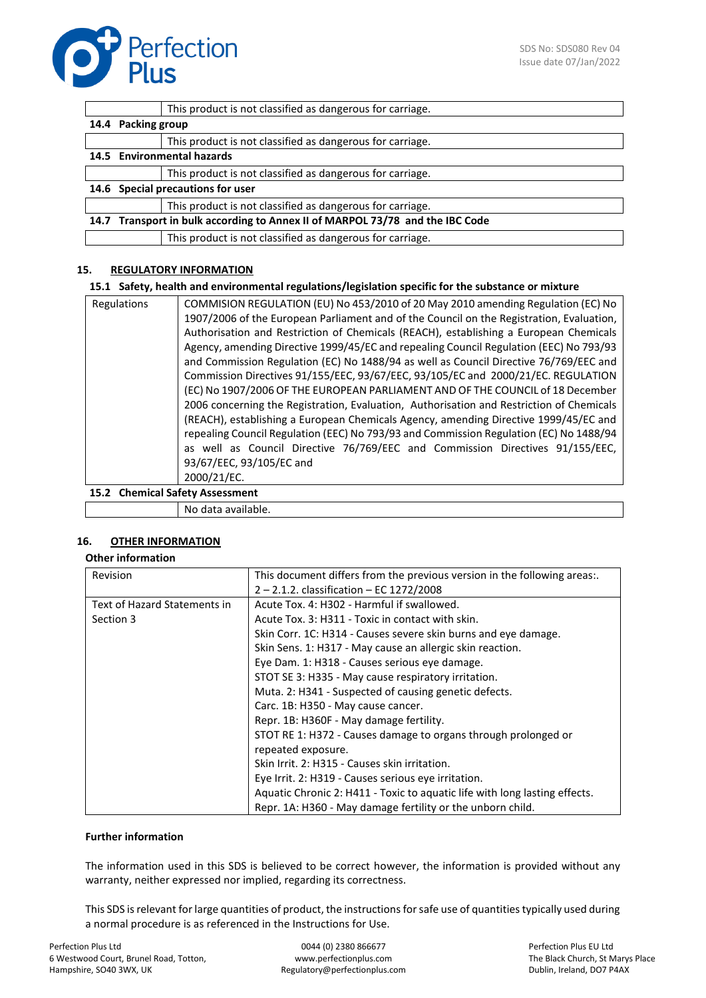

|                                                                               | This product is not classified as dangerous for carriage. |  |
|-------------------------------------------------------------------------------|-----------------------------------------------------------|--|
| 14.4 Packing group                                                            |                                                           |  |
|                                                                               | This product is not classified as dangerous for carriage. |  |
| 14.5 Environmental hazards                                                    |                                                           |  |
|                                                                               | This product is not classified as dangerous for carriage. |  |
| 14.6 Special precautions for user                                             |                                                           |  |
|                                                                               | This product is not classified as dangerous for carriage. |  |
| 14.7 Transport in bulk according to Annex II of MARPOL 73/78 and the IBC Code |                                                           |  |
|                                                                               | This product is not classified as dangerous for carriage. |  |

# **15. REGULATORY INFORMATION**

#### **15.1 Safety, health and environmental regulations/legislation specific for the substance or mixture**

| Regulations                      | COMMISION REGULATION (EU) No 453/2010 of 20 May 2010 amending Regulation (EC) No         |
|----------------------------------|------------------------------------------------------------------------------------------|
|                                  | 1907/2006 of the European Parliament and of the Council on the Registration, Evaluation, |
|                                  | Authorisation and Restriction of Chemicals (REACH), establishing a European Chemicals    |
|                                  | Agency, amending Directive 1999/45/EC and repealing Council Regulation (EEC) No 793/93   |
|                                  | and Commission Regulation (EC) No 1488/94 as well as Council Directive 76/769/EEC and    |
|                                  | Commission Directives 91/155/EEC, 93/67/EEC, 93/105/EC and 2000/21/EC. REGULATION        |
|                                  | (EC) No 1907/2006 OF THE EUROPEAN PARLIAMENT AND OF THE COUNCIL of 18 December           |
|                                  | 2006 concerning the Registration, Evaluation, Authorisation and Restriction of Chemicals |
|                                  | (REACH), establishing a European Chemicals Agency, amending Directive 1999/45/EC and     |
|                                  | repealing Council Regulation (EEC) No 793/93 and Commission Regulation (EC) No 1488/94   |
|                                  | as well as Council Directive 76/769/EEC and Commission Directives 91/155/EEC,            |
|                                  | 93/67/EEC, 93/105/EC and                                                                 |
|                                  | 2000/21/EC.                                                                              |
| 15.3. Chamical Cafety: Accessore |                                                                                          |

#### **15.2 Chemical Safety Assessment**

| available.<br>NG<br>בזבי |
|--------------------------|
|                          |

# **16. OTHER INFORMATION**

#### **Other information**

| Revision                     | This document differs from the previous version in the following areas:.   |
|------------------------------|----------------------------------------------------------------------------|
|                              | 2 - 2.1.2. classification - EC 1272/2008                                   |
| Text of Hazard Statements in | Acute Tox. 4: H302 - Harmful if swallowed.                                 |
| Section 3                    | Acute Tox. 3: H311 - Toxic in contact with skin.                           |
|                              | Skin Corr. 1C: H314 - Causes severe skin burns and eye damage.             |
|                              | Skin Sens. 1: H317 - May cause an allergic skin reaction.                  |
|                              | Eye Dam. 1: H318 - Causes serious eye damage.                              |
|                              | STOT SE 3: H335 - May cause respiratory irritation.                        |
|                              | Muta. 2: H341 - Suspected of causing genetic defects.                      |
|                              | Carc. 1B: H350 - May cause cancer.                                         |
|                              | Repr. 1B: H360F - May damage fertility.                                    |
|                              | STOT RE 1: H372 - Causes damage to organs through prolonged or             |
|                              | repeated exposure.                                                         |
|                              | Skin Irrit. 2: H315 - Causes skin irritation.                              |
|                              | Eye Irrit. 2: H319 - Causes serious eye irritation.                        |
|                              | Aquatic Chronic 2: H411 - Toxic to aquatic life with long lasting effects. |
|                              | Repr. 1A: H360 - May damage fertility or the unborn child.                 |

### **Further information**

The information used in this SDS is believed to be correct however, the information is provided without any warranty, neither expressed nor implied, regarding its correctness.

This SDS is relevant for large quantities of product, the instructions for safe use of quantities typically used during a normal procedure is as referenced in the Instructions for Use.